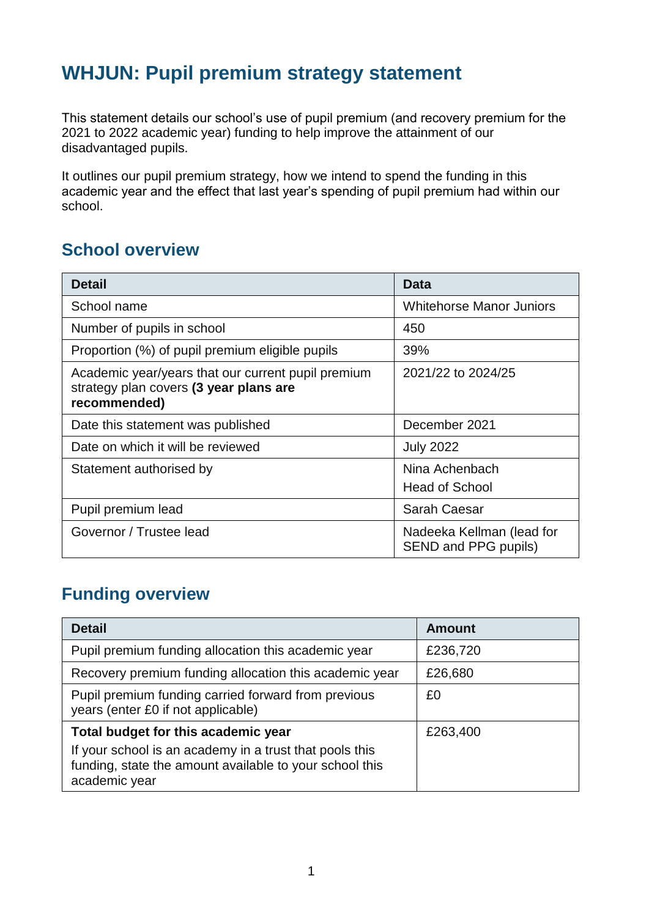# **WHJUN: Pupil premium strategy statement**

This statement details our school's use of pupil premium (and recovery premium for the 2021 to 2022 academic year) funding to help improve the attainment of our disadvantaged pupils.

It outlines our pupil premium strategy, how we intend to spend the funding in this academic year and the effect that last year's spending of pupil premium had within our school.

#### **School overview**

| <b>Detail</b>                                                                                                | <b>Data</b>                                       |
|--------------------------------------------------------------------------------------------------------------|---------------------------------------------------|
| School name                                                                                                  | <b>Whitehorse Manor Juniors</b>                   |
| Number of pupils in school                                                                                   | 450                                               |
| Proportion (%) of pupil premium eligible pupils                                                              | 39%                                               |
| Academic year/years that our current pupil premium<br>strategy plan covers (3 year plans are<br>recommended) | 2021/22 to 2024/25                                |
| Date this statement was published                                                                            | December 2021                                     |
| Date on which it will be reviewed                                                                            | <b>July 2022</b>                                  |
| Statement authorised by                                                                                      | Nina Achenbach<br><b>Head of School</b>           |
| Pupil premium lead                                                                                           | <b>Sarah Caesar</b>                               |
| Governor / Trustee lead                                                                                      | Nadeeka Kellman (lead for<br>SEND and PPG pupils) |

### **Funding overview**

| <b>Detail</b>                                                                                                                       | <b>Amount</b> |
|-------------------------------------------------------------------------------------------------------------------------------------|---------------|
| Pupil premium funding allocation this academic year                                                                                 | £236,720      |
| Recovery premium funding allocation this academic year                                                                              | £26,680       |
| Pupil premium funding carried forward from previous<br>years (enter £0 if not applicable)                                           | £0            |
| Total budget for this academic year                                                                                                 | £263,400      |
| If your school is an academy in a trust that pools this<br>funding, state the amount available to your school this<br>academic year |               |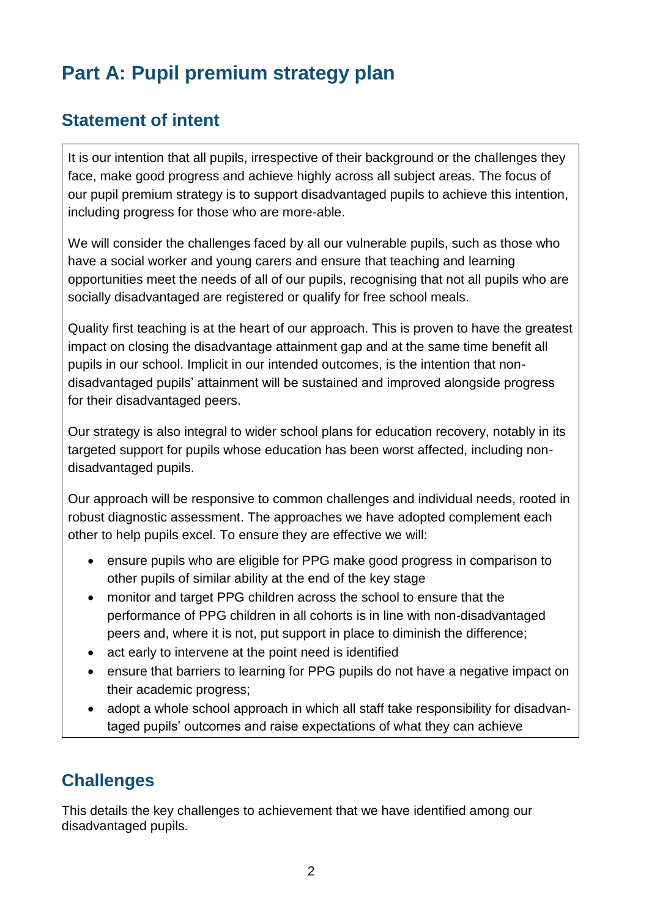# **Part A: Pupil premium strategy plan**

#### **Statement of intent**

It is our intention that all pupils, irrespective of their background or the challenges they face, make good progress and achieve highly across all subject areas. The focus of our pupil premium strategy is to support disadvantaged pupils to achieve this intention, including progress for those who are more-able.

We will consider the challenges faced by all our vulnerable pupils, such as those who have a social worker and young carers and ensure that teaching and learning opportunities meet the needs of all of our pupils, recognising that not all pupils who are socially disadvantaged are registered or qualify for free school meals.

Quality first teaching is at the heart of our approach. This is proven to have the greatest impact on closing the disadvantage attainment gap and at the same time benefit all pupils in our school. Implicit in our intended outcomes, is the intention that nondisadvantaged pupils' attainment will be sustained and improved alongside progress for their disadvantaged peers.

Our strategy is also integral to wider school plans for education recovery, notably in its targeted support for pupils whose education has been worst affected, including nondisadvantaged pupils.

Our approach will be responsive to common challenges and individual needs, rooted in robust diagnostic assessment. The approaches we have adopted complement each other to help pupils excel. To ensure they are effective we will:

- ensure pupils who are eligible for PPG make good progress in comparison to other pupils of similar ability at the end of the key stage
- monitor and target PPG children across the school to ensure that the performance of PPG children in all cohorts is in line with non-disadvantaged peers and, where it is not, put support in place to diminish the difference;
- act early to intervene at the point need is identified
- ensure that barriers to learning for PPG pupils do not have a negative impact on their academic progress;
- adopt a whole school approach in which all staff take responsibility for disadvantaged pupils' outcomes and raise expectations of what they can achieve

#### **Challenges**

This details the key challenges to achievement that we have identified among our disadvantaged pupils.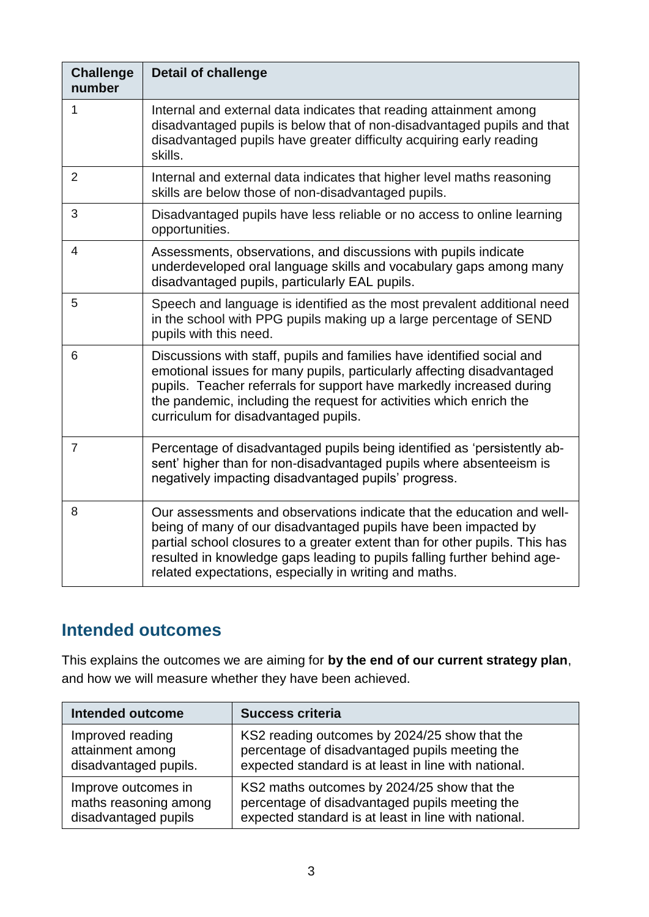| <b>Challenge</b><br>number | <b>Detail of challenge</b>                                                                                                                                                                                                                                                                                                                                     |
|----------------------------|----------------------------------------------------------------------------------------------------------------------------------------------------------------------------------------------------------------------------------------------------------------------------------------------------------------------------------------------------------------|
| 1                          | Internal and external data indicates that reading attainment among<br>disadvantaged pupils is below that of non-disadvantaged pupils and that<br>disadvantaged pupils have greater difficulty acquiring early reading<br>skills.                                                                                                                               |
| 2                          | Internal and external data indicates that higher level maths reasoning<br>skills are below those of non-disadvantaged pupils.                                                                                                                                                                                                                                  |
| 3                          | Disadvantaged pupils have less reliable or no access to online learning<br>opportunities.                                                                                                                                                                                                                                                                      |
| $\overline{4}$             | Assessments, observations, and discussions with pupils indicate<br>underdeveloped oral language skills and vocabulary gaps among many<br>disadvantaged pupils, particularly EAL pupils.                                                                                                                                                                        |
| 5                          | Speech and language is identified as the most prevalent additional need<br>in the school with PPG pupils making up a large percentage of SEND<br>pupils with this need.                                                                                                                                                                                        |
| 6                          | Discussions with staff, pupils and families have identified social and<br>emotional issues for many pupils, particularly affecting disadvantaged<br>pupils. Teacher referrals for support have markedly increased during<br>the pandemic, including the request for activities which enrich the<br>curriculum for disadvantaged pupils.                        |
| $\overline{7}$             | Percentage of disadvantaged pupils being identified as 'persistently ab-<br>sent' higher than for non-disadvantaged pupils where absenteeism is<br>negatively impacting disadvantaged pupils' progress.                                                                                                                                                        |
| 8                          | Our assessments and observations indicate that the education and well-<br>being of many of our disadvantaged pupils have been impacted by<br>partial school closures to a greater extent than for other pupils. This has<br>resulted in knowledge gaps leading to pupils falling further behind age-<br>related expectations, especially in writing and maths. |

### **Intended outcomes**

This explains the outcomes we are aiming for **by the end of our current strategy plan**, and how we will measure whether they have been achieved.

| <b>Intended outcome</b> | <b>Success criteria</b>                              |
|-------------------------|------------------------------------------------------|
| Improved reading        | KS2 reading outcomes by 2024/25 show that the        |
| attainment among        | percentage of disadvantaged pupils meeting the       |
| disadvantaged pupils.   | expected standard is at least in line with national. |
| Improve outcomes in     | KS2 maths outcomes by 2024/25 show that the          |
| maths reasoning among   | percentage of disadvantaged pupils meeting the       |
| disadvantaged pupils    | expected standard is at least in line with national. |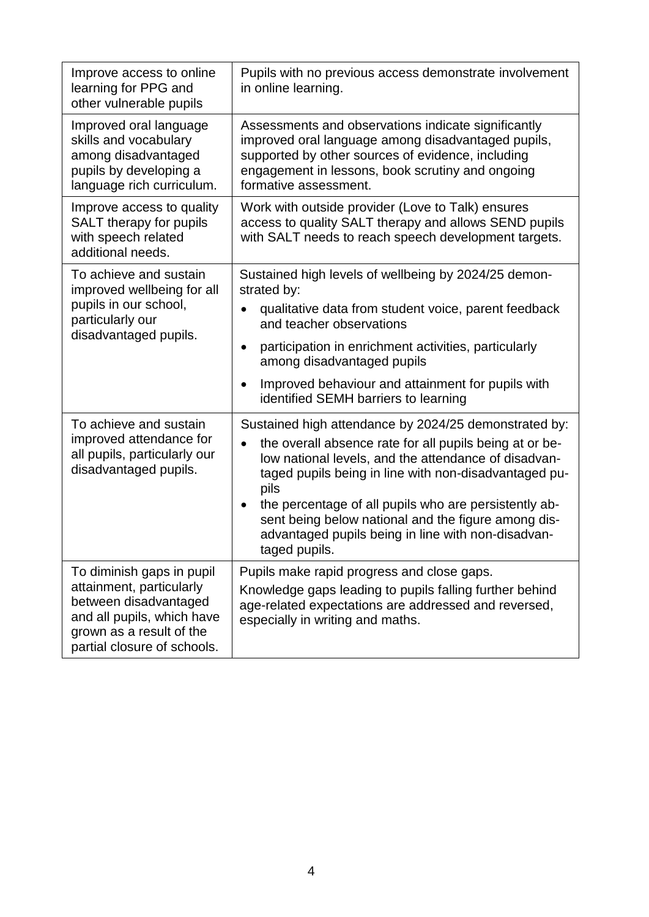| Improve access to online<br>learning for PPG and<br>other vulnerable pupils                                                                                             | Pupils with no previous access demonstrate involvement<br>in online learning.                                                                                                                                                                                                                                                                                                                                                                 |
|-------------------------------------------------------------------------------------------------------------------------------------------------------------------------|-----------------------------------------------------------------------------------------------------------------------------------------------------------------------------------------------------------------------------------------------------------------------------------------------------------------------------------------------------------------------------------------------------------------------------------------------|
| Improved oral language<br>skills and vocabulary<br>among disadvantaged<br>pupils by developing a<br>language rich curriculum.                                           | Assessments and observations indicate significantly<br>improved oral language among disadvantaged pupils,<br>supported by other sources of evidence, including<br>engagement in lessons, book scrutiny and ongoing<br>formative assessment.                                                                                                                                                                                                   |
| Improve access to quality<br>SALT therapy for pupils<br>with speech related<br>additional needs.                                                                        | Work with outside provider (Love to Talk) ensures<br>access to quality SALT therapy and allows SEND pupils<br>with SALT needs to reach speech development targets.                                                                                                                                                                                                                                                                            |
| To achieve and sustain<br>improved wellbeing for all<br>pupils in our school,<br>particularly our<br>disadvantaged pupils.                                              | Sustained high levels of wellbeing by 2024/25 demon-<br>strated by:<br>qualitative data from student voice, parent feedback<br>and teacher observations                                                                                                                                                                                                                                                                                       |
|                                                                                                                                                                         | participation in enrichment activities, particularly<br>٠<br>among disadvantaged pupils                                                                                                                                                                                                                                                                                                                                                       |
|                                                                                                                                                                         | Improved behaviour and attainment for pupils with<br>$\bullet$<br>identified SEMH barriers to learning                                                                                                                                                                                                                                                                                                                                        |
| To achieve and sustain<br>improved attendance for<br>all pupils, particularly our<br>disadvantaged pupils.                                                              | Sustained high attendance by 2024/25 demonstrated by:<br>the overall absence rate for all pupils being at or be-<br>$\bullet$<br>low national levels, and the attendance of disadvan-<br>taged pupils being in line with non-disadvantaged pu-<br>pils<br>the percentage of all pupils who are persistently ab-<br>sent being below national and the figure among dis-<br>advantaged pupils being in line with non-disadvan-<br>taged pupils. |
| To diminish gaps in pupil<br>attainment, particularly<br>between disadvantaged<br>and all pupils, which have<br>grown as a result of the<br>partial closure of schools. | Pupils make rapid progress and close gaps.<br>Knowledge gaps leading to pupils falling further behind<br>age-related expectations are addressed and reversed,<br>especially in writing and maths.                                                                                                                                                                                                                                             |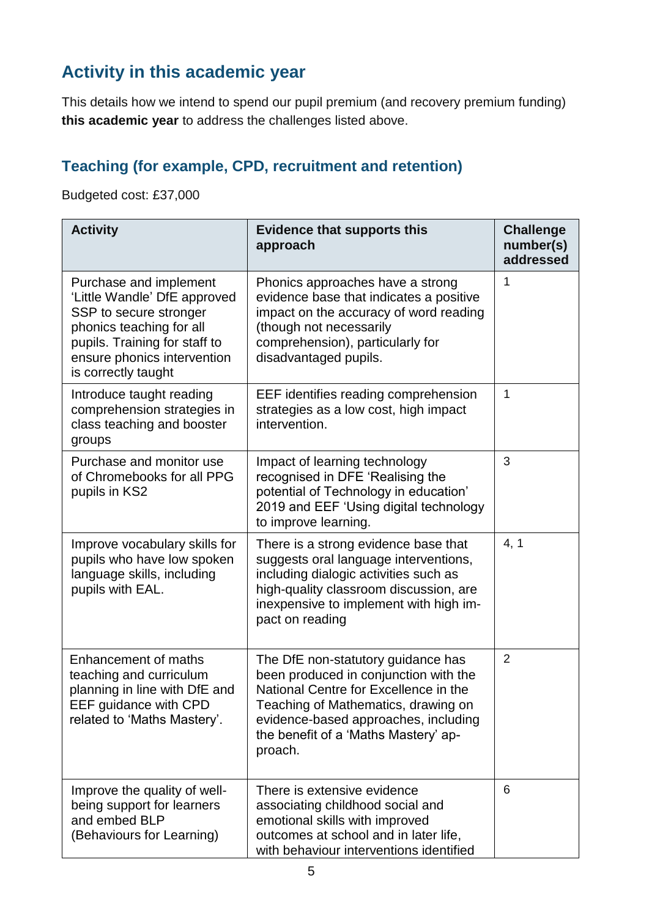### **Activity in this academic year**

This details how we intend to spend our pupil premium (and recovery premium funding) **this academic year** to address the challenges listed above.

#### **Teaching (for example, CPD, recruitment and retention)**

Budgeted cost: £37,000

| <b>Activity</b>                                                                                                                                                                                     | <b>Evidence that supports this</b><br>approach                                                                                                                                                                                                         | <b>Challenge</b><br>number(s)<br>addressed |
|-----------------------------------------------------------------------------------------------------------------------------------------------------------------------------------------------------|--------------------------------------------------------------------------------------------------------------------------------------------------------------------------------------------------------------------------------------------------------|--------------------------------------------|
| Purchase and implement<br>'Little Wandle' DfE approved<br>SSP to secure stronger<br>phonics teaching for all<br>pupils. Training for staff to<br>ensure phonics intervention<br>is correctly taught | Phonics approaches have a strong<br>evidence base that indicates a positive<br>impact on the accuracy of word reading<br>(though not necessarily<br>comprehension), particularly for<br>disadvantaged pupils.                                          | 1                                          |
| Introduce taught reading<br>comprehension strategies in<br>class teaching and booster<br>groups                                                                                                     | EEF identifies reading comprehension<br>strategies as a low cost, high impact<br>intervention.                                                                                                                                                         | 1                                          |
| Purchase and monitor use<br>of Chromebooks for all PPG<br>pupils in KS2                                                                                                                             | Impact of learning technology<br>recognised in DFE 'Realising the<br>potential of Technology in education'<br>2019 and EEF 'Using digital technology<br>to improve learning.                                                                           | 3                                          |
| Improve vocabulary skills for<br>pupils who have low spoken<br>language skills, including<br>pupils with EAL.                                                                                       | There is a strong evidence base that<br>suggests oral language interventions,<br>including dialogic activities such as<br>high-quality classroom discussion, are<br>inexpensive to implement with high im-<br>pact on reading                          | 4, 1                                       |
| <b>Enhancement of maths</b><br>teaching and curriculum<br>planning in line with DfE and<br>EEF guidance with CPD<br>related to 'Maths Mastery'.                                                     | The DfE non-statutory guidance has<br>been produced in conjunction with the<br>National Centre for Excellence in the<br>Teaching of Mathematics, drawing on<br>evidence-based approaches, including<br>the benefit of a 'Maths Mastery' ap-<br>proach. | $\overline{2}$                             |
| Improve the quality of well-<br>being support for learners<br>and embed BLP<br>(Behaviours for Learning)                                                                                            | There is extensive evidence<br>associating childhood social and<br>emotional skills with improved<br>outcomes at school and in later life,<br>with behaviour interventions identified                                                                  | 6                                          |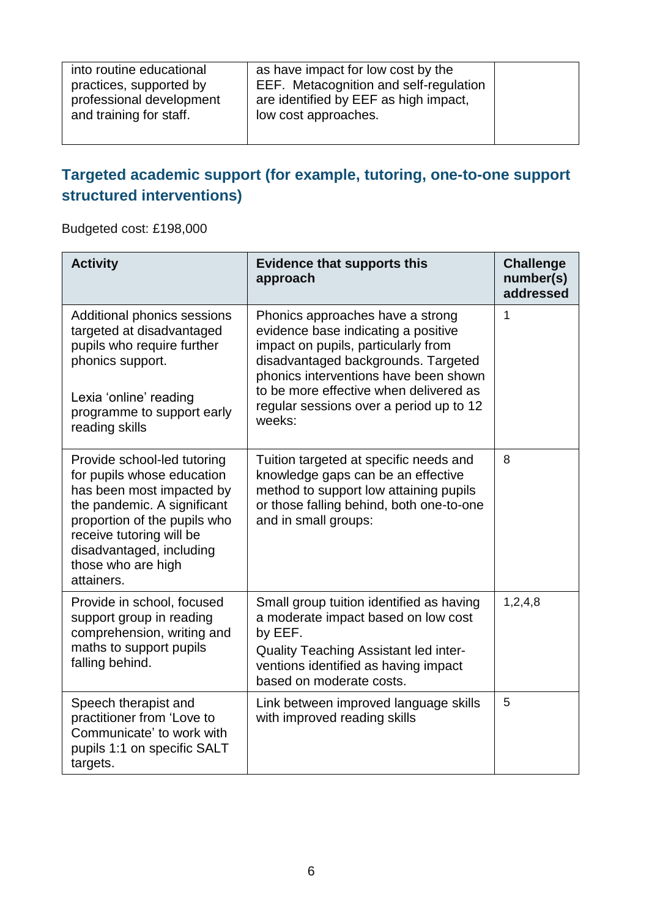| into routine educational<br>practices, supported by<br>professional development<br>and training for staff. | as have impact for low cost by the<br>EEF. Metacognition and self-regulation<br>are identified by EEF as high impact,<br>low cost approaches. |  |
|------------------------------------------------------------------------------------------------------------|-----------------------------------------------------------------------------------------------------------------------------------------------|--|
|------------------------------------------------------------------------------------------------------------|-----------------------------------------------------------------------------------------------------------------------------------------------|--|

#### **Targeted academic support (for example, tutoring, one-to-one support structured interventions)**

Budgeted cost: £198,000

| <b>Activity</b>                                                                                                                                                                                                                                   | <b>Evidence that supports this</b><br>approach                                                                                                                                                                                                                                                | <b>Challenge</b><br>number(s)<br>addressed |
|---------------------------------------------------------------------------------------------------------------------------------------------------------------------------------------------------------------------------------------------------|-----------------------------------------------------------------------------------------------------------------------------------------------------------------------------------------------------------------------------------------------------------------------------------------------|--------------------------------------------|
| Additional phonics sessions<br>targeted at disadvantaged<br>pupils who require further<br>phonics support.<br>Lexia 'online' reading<br>programme to support early<br>reading skills                                                              | Phonics approaches have a strong<br>evidence base indicating a positive<br>impact on pupils, particularly from<br>disadvantaged backgrounds. Targeted<br>phonics interventions have been shown<br>to be more effective when delivered as<br>regular sessions over a period up to 12<br>weeks: | 1                                          |
| Provide school-led tutoring<br>for pupils whose education<br>has been most impacted by<br>the pandemic. A significant<br>proportion of the pupils who<br>receive tutoring will be<br>disadvantaged, including<br>those who are high<br>attainers. | Tuition targeted at specific needs and<br>knowledge gaps can be an effective<br>method to support low attaining pupils<br>or those falling behind, both one-to-one<br>and in small groups:                                                                                                    | 8                                          |
| Provide in school, focused<br>support group in reading<br>comprehension, writing and<br>maths to support pupils<br>falling behind.                                                                                                                | Small group tuition identified as having<br>a moderate impact based on low cost<br>by EEF.<br><b>Quality Teaching Assistant led inter-</b><br>ventions identified as having impact<br>based on moderate costs.                                                                                | 1,2,4,8                                    |
| Speech therapist and<br>practitioner from 'Love to<br>Communicate' to work with<br>pupils 1:1 on specific SALT<br>targets.                                                                                                                        | Link between improved language skills<br>with improved reading skills                                                                                                                                                                                                                         | 5                                          |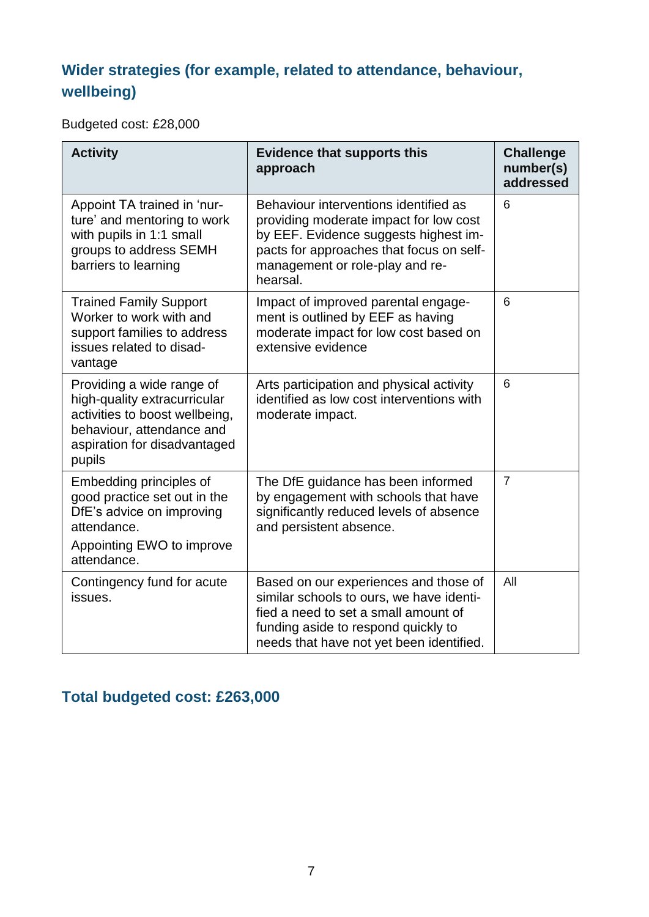#### **Wider strategies (for example, related to attendance, behaviour, wellbeing)**

Budgeted cost: £28,000

| <b>Activity</b>                                                                                                                                                    | <b>Evidence that supports this</b><br>approach                                                                                                                                                                      | <b>Challenge</b><br>number(s)<br>addressed |
|--------------------------------------------------------------------------------------------------------------------------------------------------------------------|---------------------------------------------------------------------------------------------------------------------------------------------------------------------------------------------------------------------|--------------------------------------------|
| Appoint TA trained in 'nur-<br>ture' and mentoring to work<br>with pupils in 1:1 small<br>groups to address SEMH<br>barriers to learning                           | Behaviour interventions identified as<br>providing moderate impact for low cost<br>by EEF. Evidence suggests highest im-<br>pacts for approaches that focus on self-<br>management or role-play and re-<br>hearsal. | $6\phantom{1}6$                            |
| <b>Trained Family Support</b><br>Worker to work with and<br>support families to address<br>issues related to disad-<br>vantage                                     | Impact of improved parental engage-<br>ment is outlined by EEF as having<br>moderate impact for low cost based on<br>extensive evidence                                                                             | 6                                          |
| Providing a wide range of<br>high-quality extracurricular<br>activities to boost wellbeing,<br>behaviour, attendance and<br>aspiration for disadvantaged<br>pupils | Arts participation and physical activity<br>identified as low cost interventions with<br>moderate impact.                                                                                                           | 6                                          |
| Embedding principles of<br>good practice set out in the<br>DfE's advice on improving<br>attendance.<br>Appointing EWO to improve<br>attendance.                    | The DfE guidance has been informed<br>by engagement with schools that have<br>significantly reduced levels of absence<br>and persistent absence.                                                                    | $\overline{7}$                             |
| Contingency fund for acute<br>issues.                                                                                                                              | Based on our experiences and those of<br>similar schools to ours, we have identi-<br>fied a need to set a small amount of<br>funding aside to respond quickly to<br>needs that have not yet been identified.        | All                                        |

## **Total budgeted cost: £263,000**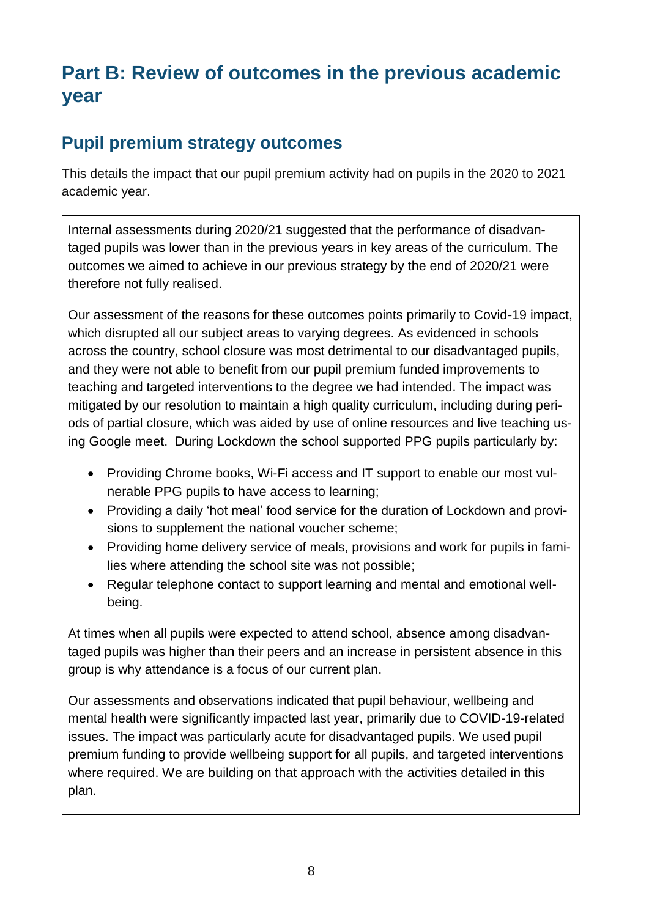# **Part B: Review of outcomes in the previous academic year**

#### **Pupil premium strategy outcomes**

This details the impact that our pupil premium activity had on pupils in the 2020 to 2021 academic year.

Internal assessments during 2020/21 suggested that the performance of disadvantaged pupils was lower than in the previous years in key areas of the curriculum. The outcomes we aimed to achieve in our previous strategy by the end of 2020/21 were therefore not fully realised.

Our assessment of the reasons for these outcomes points primarily to Covid-19 impact, which disrupted all our subject areas to varying degrees. As evidenced in schools across the country, school closure was most detrimental to our disadvantaged pupils, and they were not able to benefit from our pupil premium funded improvements to teaching and targeted interventions to the degree we had intended. The impact was mitigated by our resolution to maintain a high quality curriculum, including during periods of partial closure, which was aided by use of online resources and live teaching using Google meet. During Lockdown the school supported PPG pupils particularly by:

- Providing Chrome books, Wi-Fi access and IT support to enable our most vulnerable PPG pupils to have access to learning;
- Providing a daily 'hot meal' food service for the duration of Lockdown and provisions to supplement the national voucher scheme;
- Providing home delivery service of meals, provisions and work for pupils in families where attending the school site was not possible;
- Regular telephone contact to support learning and mental and emotional wellbeing.

At times when all pupils were expected to attend school, absence among disadvantaged pupils was higher than their peers and an increase in persistent absence in this group is why attendance is a focus of our current plan.

Our assessments and observations indicated that pupil behaviour, wellbeing and mental health were significantly impacted last year, primarily due to COVID-19-related issues. The impact was particularly acute for disadvantaged pupils. We used pupil premium funding to provide wellbeing support for all pupils, and targeted interventions where required. We are building on that approach with the activities detailed in this plan.